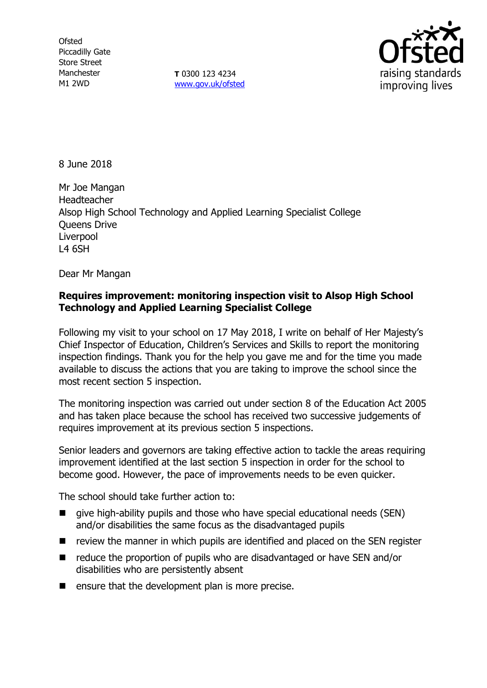**Ofsted** Piccadilly Gate Store Street Manchester M1 2WD

**T** 0300 123 4234 [www.gov.uk/ofsted](http://www.gov.uk/ofsted)



8 June 2018

Mr Joe Mangan Headteacher Alsop High School Technology and Applied Learning Specialist College Queens Drive Liverpool L4 6SH

Dear Mr Mangan

# **Requires improvement: monitoring inspection visit to Alsop High School Technology and Applied Learning Specialist College**

Following my visit to your school on 17 May 2018, I write on behalf of Her Majesty's Chief Inspector of Education, Children's Services and Skills to report the monitoring inspection findings. Thank you for the help you gave me and for the time you made available to discuss the actions that you are taking to improve the school since the most recent section 5 inspection.

The monitoring inspection was carried out under section 8 of the Education Act 2005 and has taken place because the school has received two successive judgements of requires improvement at its previous section 5 inspections.

Senior leaders and governors are taking effective action to tackle the areas requiring improvement identified at the last section 5 inspection in order for the school to become good. However, the pace of improvements needs to be even quicker.

The school should take further action to:

- give high-ability pupils and those who have special educational needs (SEN) and/or disabilities the same focus as the disadvantaged pupils
- $\blacksquare$  review the manner in which pupils are identified and placed on the SEN register
- $\blacksquare$  reduce the proportion of pupils who are disadvantaged or have SEN and/or disabilities who are persistently absent
- $\blacksquare$  ensure that the development plan is more precise.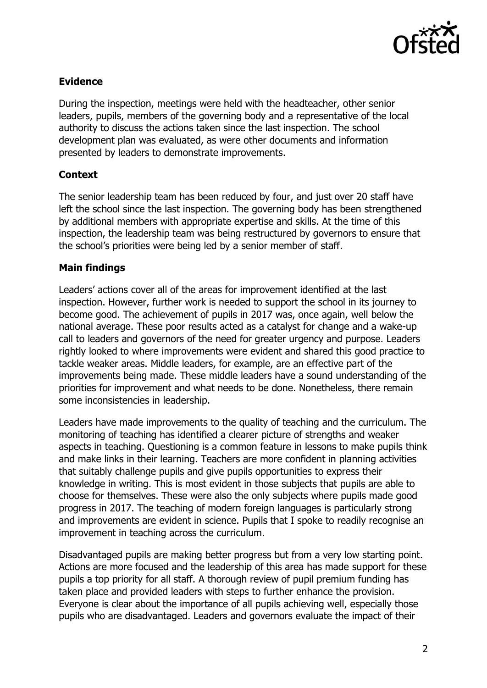

### **Evidence**

During the inspection, meetings were held with the headteacher, other senior leaders, pupils, members of the governing body and a representative of the local authority to discuss the actions taken since the last inspection. The school development plan was evaluated, as were other documents and information presented by leaders to demonstrate improvements.

#### **Context**

The senior leadership team has been reduced by four, and just over 20 staff have left the school since the last inspection. The governing body has been strengthened by additional members with appropriate expertise and skills. At the time of this inspection, the leadership team was being restructured by governors to ensure that the school's priorities were being led by a senior member of staff.

#### **Main findings**

Leaders' actions cover all of the areas for improvement identified at the last inspection. However, further work is needed to support the school in its journey to become good. The achievement of pupils in 2017 was, once again, well below the national average. These poor results acted as a catalyst for change and a wake-up call to leaders and governors of the need for greater urgency and purpose. Leaders rightly looked to where improvements were evident and shared this good practice to tackle weaker areas. Middle leaders, for example, are an effective part of the improvements being made. These middle leaders have a sound understanding of the priorities for improvement and what needs to be done. Nonetheless, there remain some inconsistencies in leadership.

Leaders have made improvements to the quality of teaching and the curriculum. The monitoring of teaching has identified a clearer picture of strengths and weaker aspects in teaching. Questioning is a common feature in lessons to make pupils think and make links in their learning. Teachers are more confident in planning activities that suitably challenge pupils and give pupils opportunities to express their knowledge in writing. This is most evident in those subjects that pupils are able to choose for themselves. These were also the only subjects where pupils made good progress in 2017. The teaching of modern foreign languages is particularly strong and improvements are evident in science. Pupils that I spoke to readily recognise an improvement in teaching across the curriculum.

Disadvantaged pupils are making better progress but from a very low starting point. Actions are more focused and the leadership of this area has made support for these pupils a top priority for all staff. A thorough review of pupil premium funding has taken place and provided leaders with steps to further enhance the provision. Everyone is clear about the importance of all pupils achieving well, especially those pupils who are disadvantaged. Leaders and governors evaluate the impact of their